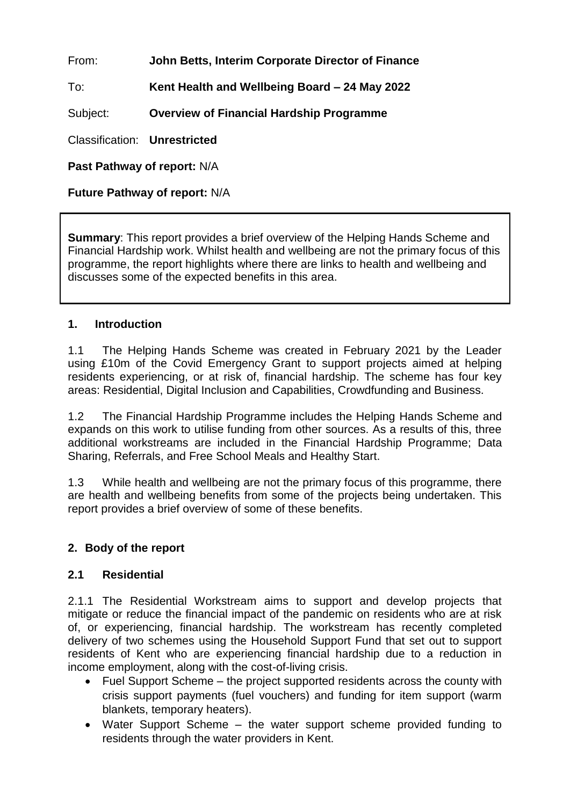From: **John Betts, Interim Corporate Director of Finance**

To: **Kent Health and Wellbeing Board – 24 May 2022**

Subject: **Overview of Financial Hardship Programme**

Classification: **Unrestricted**

**Past Pathway of report:** N/A

**Future Pathway of report:** N/A

**Summary:** This report provides a brief overview of the Helping Hands Scheme and Financial Hardship work. Whilst health and wellbeing are not the primary focus of this programme, the report highlights where there are links to health and wellbeing and discusses some of the expected benefits in this area.

#### **1. Introduction**

1.1 The Helping Hands Scheme was created in February 2021 by the Leader using £10m of the Covid Emergency Grant to support projects aimed at helping residents experiencing, or at risk of, financial hardship. The scheme has four key areas: Residential, Digital Inclusion and Capabilities, Crowdfunding and Business.

1.2 The Financial Hardship Programme includes the Helping Hands Scheme and expands on this work to utilise funding from other sources. As a results of this, three additional workstreams are included in the Financial Hardship Programme; Data Sharing, Referrals, and Free School Meals and Healthy Start.

1.3 While health and wellbeing are not the primary focus of this programme, there are health and wellbeing benefits from some of the projects being undertaken. This report provides a brief overview of some of these benefits.

### **2. Body of the report**

### **2.1 Residential**

2.1.1 The Residential Workstream aims to support and develop projects that mitigate or reduce the financial impact of the pandemic on residents who are at risk of, or experiencing, financial hardship. The workstream has recently completed delivery of two schemes using the Household Support Fund that set out to support residents of Kent who are experiencing financial hardship due to a reduction in income employment, along with the cost-of-living crisis.

- Fuel Support Scheme the project supported residents across the county with crisis support payments (fuel vouchers) and funding for item support (warm blankets, temporary heaters).
- Water Support Scheme the water support scheme provided funding to residents through the water providers in Kent.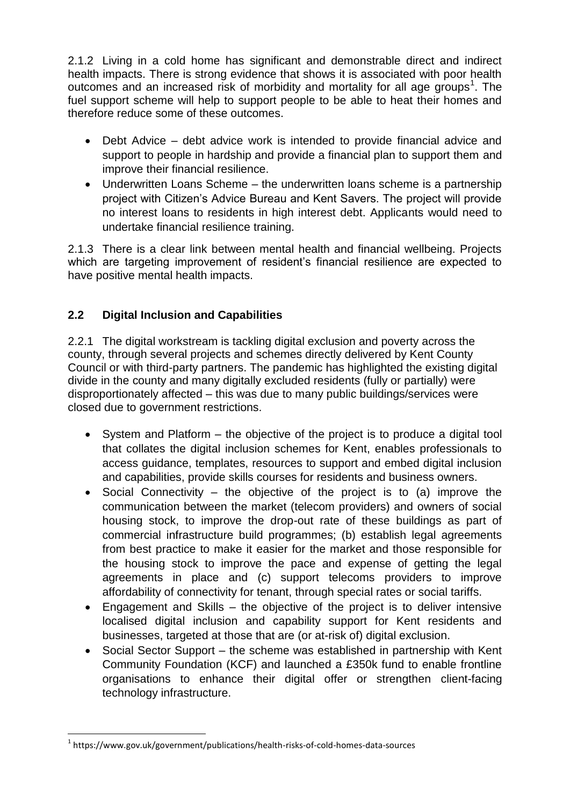2.1.2 Living in a cold home has significant and demonstrable direct and indirect health impacts. There is strong evidence that shows it is associated with poor health outcomes and an increased risk of morbidity and mortality for all age groups<sup>1</sup>. The fuel support scheme will help to support people to be able to heat their homes and therefore reduce some of these outcomes.

- Debt Advice debt advice work is intended to provide financial advice and support to people in hardship and provide a financial plan to support them and improve their financial resilience.
- Underwritten Loans Scheme the underwritten loans scheme is a partnership project with Citizen's Advice Bureau and Kent Savers. The project will provide no interest loans to residents in high interest debt. Applicants would need to undertake financial resilience training.

2.1.3 There is a clear link between mental health and financial wellbeing. Projects which are targeting improvement of resident's financial resilience are expected to have positive mental health impacts.

# **2.2 Digital Inclusion and Capabilities**

2.2.1 The digital workstream is tackling digital exclusion and poverty across the county, through several projects and schemes directly delivered by Kent County Council or with third-party partners. The pandemic has highlighted the existing digital divide in the county and many digitally excluded residents (fully or partially) were disproportionately affected – this was due to many public buildings/services were closed due to government restrictions.

- System and Platform the objective of the project is to produce a digital tool that collates the digital inclusion schemes for Kent, enables professionals to access guidance, templates, resources to support and embed digital inclusion and capabilities, provide skills courses for residents and business owners.
- Social Connectivity the objective of the project is to (a) improve the communication between the market (telecom providers) and owners of social housing stock, to improve the drop-out rate of these buildings as part of commercial infrastructure build programmes; (b) establish legal agreements from best practice to make it easier for the market and those responsible for the housing stock to improve the pace and expense of getting the legal agreements in place and (c) support telecoms providers to improve affordability of connectivity for tenant, through special rates or social tariffs.
- Engagement and Skills the objective of the project is to deliver intensive localised digital inclusion and capability support for Kent residents and businesses, targeted at those that are (or at-risk of) digital exclusion.
- Social Sector Support the scheme was established in partnership with Kent Community Foundation (KCF) and launched a £350k fund to enable frontline organisations to enhance their digital offer or strengthen client-facing technology infrastructure.

 $^{\rm 1}$  https://www.gov.uk/government/publications/health-risks-of-cold-homes-data-sources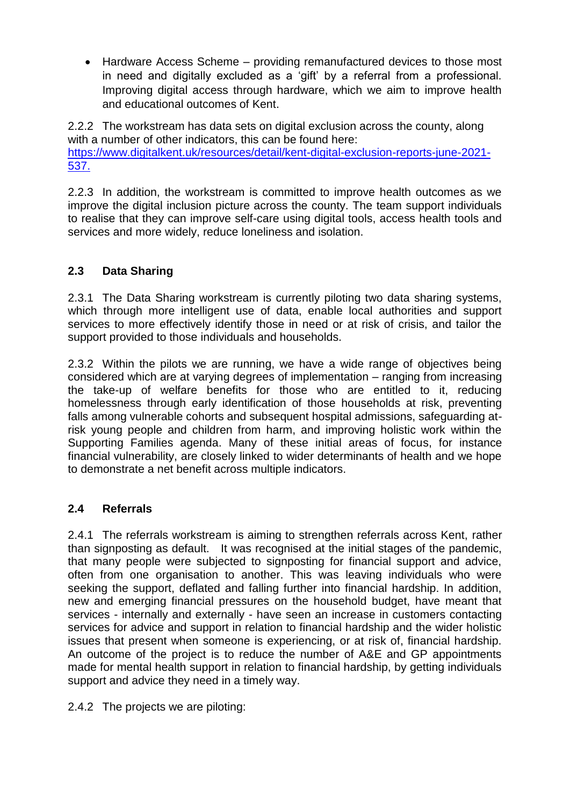Hardware Access Scheme – providing remanufactured devices to those most in need and digitally excluded as a 'gift' by a referral from a professional. Improving digital access through hardware, which we aim to improve health and educational outcomes of Kent.

2.2.2 The workstream has data sets on digital exclusion across the county, along with a number of other indicators, this can be found here: [https://www.digitalkent.uk/resources/detail/kent-digital-exclusion-reports-june-2021-](https://www.digitalkent.uk/resources/detail/kent-digital-exclusion-reports-june-2021-537.) [537.](https://www.digitalkent.uk/resources/detail/kent-digital-exclusion-reports-june-2021-537.)

2.2.3 In addition, the workstream is committed to improve health outcomes as we improve the digital inclusion picture across the county. The team support individuals to realise that they can improve self-care using digital tools, access health tools and services and more widely, reduce loneliness and isolation.

# **2.3 Data Sharing**

2.3.1 The Data Sharing workstream is currently piloting two data sharing systems, which through more intelligent use of data, enable local authorities and support services to more effectively identify those in need or at risk of crisis, and tailor the support provided to those individuals and households.

2.3.2 Within the pilots we are running, we have a wide range of objectives being considered which are at varying degrees of implementation – ranging from increasing the take-up of welfare benefits for those who are entitled to it, reducing homelessness through early identification of those households at risk, preventing falls among vulnerable cohorts and subsequent hospital admissions, safeguarding atrisk young people and children from harm, and improving holistic work within the Supporting Families agenda. Many of these initial areas of focus, for instance financial vulnerability, are closely linked to wider determinants of health and we hope to demonstrate a net benefit across multiple indicators.

### **2.4 Referrals**

2.4.1 The referrals workstream is aiming to strengthen referrals across Kent, rather than signposting as default. It was recognised at the initial stages of the pandemic, that many people were subjected to signposting for financial support and advice, often from one organisation to another. This was leaving individuals who were seeking the support, deflated and falling further into financial hardship. In addition, new and emerging financial pressures on the household budget, have meant that services - internally and externally - have seen an increase in customers contacting services for advice and support in relation to financial hardship and the wider holistic issues that present when someone is experiencing, or at risk of, financial hardship. An outcome of the project is to reduce the number of A&E and GP appointments made for mental health support in relation to financial hardship, by getting individuals support and advice they need in a timely way.

2.4.2 The projects we are piloting: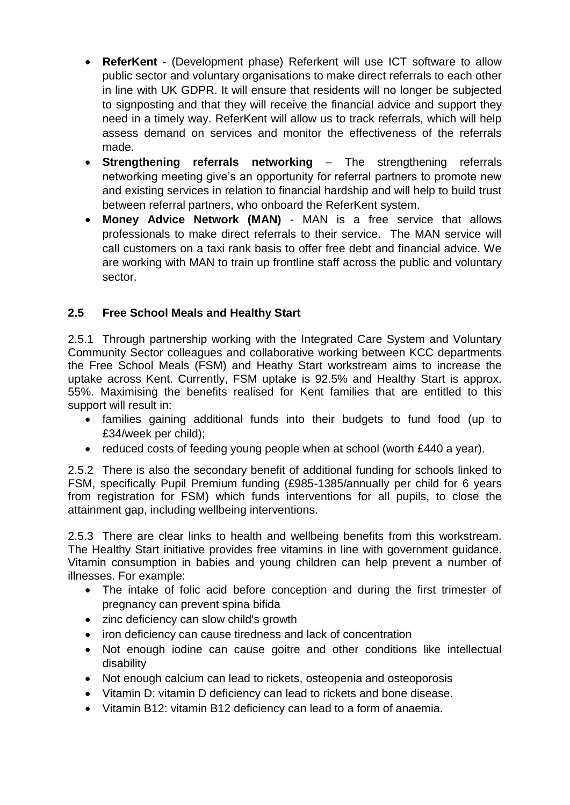- **ReferKent**  (Development phase) Referkent will use ICT software to allow public sector and voluntary organisations to make direct referrals to each other in line with UK GDPR. It will ensure that residents will no longer be subjected to signposting and that they will receive the financial advice and support they need in a timely way. ReferKent will allow us to track referrals, which will help assess demand on services and monitor the effectiveness of the referrals made.
- **Strengthening referrals networking**  The strengthening referrals networking meeting give's an opportunity for referral partners to promote new and existing services in relation to financial hardship and will help to build trust between referral partners, who onboard the ReferKent system.
- **Money Advice Network (MAN)**  MAN is a free service that allows professionals to make direct referrals to their service. The MAN service will call customers on a taxi rank basis to offer free debt and financial advice. We are working with MAN to train up frontline staff across the public and voluntary sector.

# **2.5 Free School Meals and Healthy Start**

2.5.1 Through partnership working with the Integrated Care System and Voluntary Community Sector colleagues and collaborative working between KCC departments the Free School Meals (FSM) and Heathy Start workstream aims to increase the uptake across Kent. Currently, FSM uptake is 92.5% and Healthy Start is approx. 55%. Maximising the benefits realised for Kent families that are entitled to this support will result in:

- families gaining additional funds into their budgets to fund food (up to £34/week per child);
- reduced costs of feeding young people when at school (worth £440 a year).

2.5.2 There is also the secondary benefit of additional funding for schools linked to FSM, specifically Pupil Premium funding (£985-1385/annually per child for 6 years from registration for FSM) which funds interventions for all pupils, to close the attainment gap, including wellbeing interventions.

2.5.3 There are clear links to health and wellbeing benefits from this workstream. The Healthy Start initiative provides free vitamins in line with government guidance. Vitamin consumption in babies and young children can help prevent a number of illnesses. For example:

- The intake of folic acid before conception and during the first trimester of pregnancy can prevent spina bifida
- zinc deficiency can slow child's growth
- iron deficiency can cause tiredness and lack of concentration
- Not enough iodine can cause goitre and other conditions like intellectual disability
- Not enough calcium can lead to rickets, osteopenia and osteoporosis
- Vitamin D: vitamin D deficiency can lead to rickets and bone disease.
- Vitamin B12: vitamin B12 deficiency can lead to a form of anaemia.